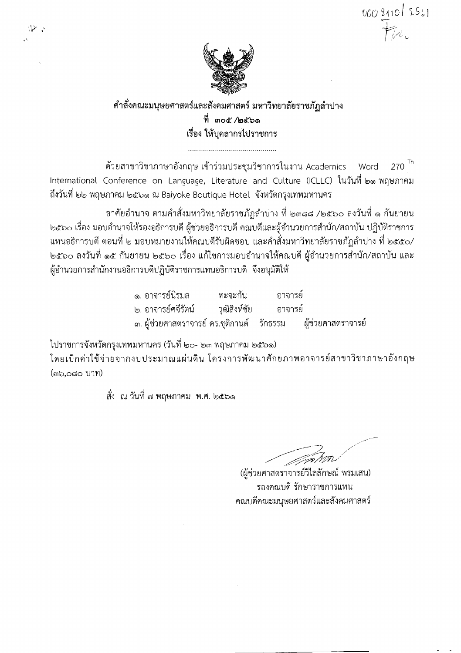000 2110 2561



## คำสั่งคณะมนุษยศาสตร์และสังคมศาสตร์ มหาวิทยาลัยราชภัฎลำปาง ที่ ๓๐๕ /๒๕๖๑ เรื่อง ให้บคลากรไปราชการ

้ด้วยสาขาวิชาภาษาอังกฤษ เข้าร่วมประชุมวิชาการในงาน Academics  $270$ <sup>Th</sup> Word International Conference on Language, Literature and Culture (ICLLC) ในวันที่ ๒๑ พฤษภาคม ้ถึงวันที่ ๒๒ พฤษภาคม ๒๕๖๑ ณ Baiyoke Boutique Hotel จังหวัดกรุงเทพมหานคร

้อาศัยอำนาจ ตามคำสั่งมหาวิทยาลัยราชภัฏลำปาง ที่ ๒๓๘๘ /๒๕๖๐ ลงวันที่ ๑ กันยายน ๒๕๖๐ เรื่อง มอบอำนาจให้รองอธิการบดี ผู้ช่วยอธิการบดี คณบดีและผู้อำนวยการสำนัก/สถาบัน ปฏิบัติราชการ แทนอธิการบดี ตอนที่ ๒ มอบหมายงานให้คณบดีรับผิดชอบ และคำสั่งมหาวิทยาลัยราชภัฏลำปาง ที่ ๒๕๕๐/ ่ ๒๕๖๐ ลงวันที่ ๑๕ กันยายน ๒๕๖๐ เรื่อง แก้ไขการมอบอำนาจให้คณบดี ผู้อำนวยการสำนัก/สถาบัน และ ผู้อำนวยการสำนักงานอธิการบดีปฏิบัติราชการแทนอธิการบดี จึงอนุมัติให้

| ๑. อาจารย์นิรมล                                                  | ทะจะกัน | อาจารย์ |  |
|------------------------------------------------------------------|---------|---------|--|
| ๒. อาจารย์ศจีรัตน์           วุฒิสิงห์ชัย          อาจารย์       |         |         |  |
| ี ๓. ผู้ช่วยศาสตราจารย์ ดร.ชุติกานต์ รักธรรม  ผู้ช่วยศาสตราจารย์ |         |         |  |

ไปราชการจังหวัดกรุงเทพมหานคร (วันที่ ๒๐- ๒๓ พฤษภาคม ๒๕๖๑)

۰. سا

โดยเบิกค่าใช้จ่ายจากงบประมาณแผ่นดิน โครงการพัฒนาศักยภาพอาจารย์สาขาวิชาภาษาอังกฤษ (ต๖,๐๘๐ บาท)

สั่ง ณ วันที่ ๗ พฤษภาคม พ.ศ. ๒๕๖๑

- JAW

(ผู้ช่วยศาสตรา์จารย์วิไลลักษณ์ พรมเสน) รองคณบดี รักษาราชการแทน ึคณบดีคณะมนุษยศาสตร์และสังคมศาสตร์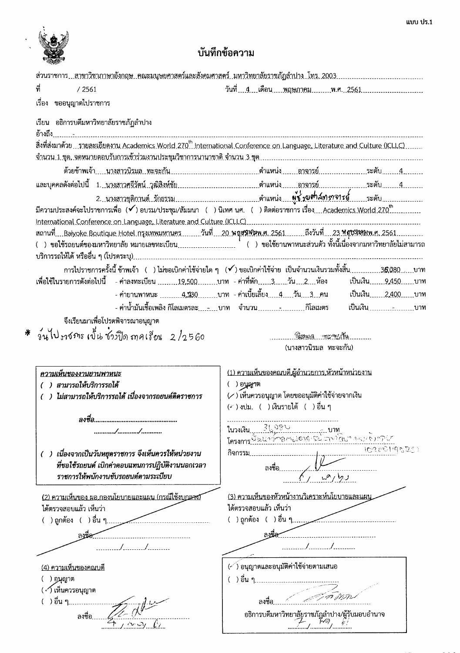

 $\hat{\mathbf{c}}$ 

# บันทึกข้อความ

| ที่<br>/2561                                                                     | วันที่ 4. เดือนพฤษภาคมพ.ศ. 2561                                                                                                                                   |
|----------------------------------------------------------------------------------|-------------------------------------------------------------------------------------------------------------------------------------------------------------------|
| เรื่อง ขออนุญาตไปราชการ                                                          |                                                                                                                                                                   |
| เรียน อธิการบดีมหาวิทยาลัยราชภัฏลำปาง                                            |                                                                                                                                                                   |
|                                                                                  | สิ่งที่ส่งมาด้วย รายละเอียดงาน Academics World 270 <sup>th</sup> International Conference on Language, Literature and Culture (ICLLC)                             |
|                                                                                  | จำนวน 1 ชุด, จดหมายตอบรับการเข้าร่วมงานประชุมวิชาการนานาชาติ จำนวน 3 ชุด ……………………………………………………………………                                                               |
|                                                                                  |                                                                                                                                                                   |
|                                                                                  |                                                                                                                                                                   |
|                                                                                  |                                                                                                                                                                   |
|                                                                                  | มีความประสงค์จะไปราชการเพื่อ (✔) อบรม/ประชุม/สัมมนา ( )นิเทศ นศ. ( )ติดต่อราชการ เรื่อง….Academics.World.270"……………                                                |
|                                                                                  |                                                                                                                                                                   |
|                                                                                  |                                                                                                                                                                   |
|                                                                                  |                                                                                                                                                                   |
|                                                                                  |                                                                                                                                                                   |
| เพื่อใช้ในรายการดังต่อไปนี้ - ค่าลงทะเบียน 19,500บาท - ค่าที่พัก3วัน 2ห้อง       | .<br>การไปราชการครั้งนี้ ข้าพเจ้า   (   ) ไม่ขอเบิกค่าใช้จ่ายใด ๆ    (✔) ขอเบิกค่าใช้จ่าย  เป็นจำนวนเงินรวมทั้งสิ้น……………36,080……บาท<br>้เป็นเงิน <u>9,450</u> บาท |
|                                                                                  | - ค่ายานพาหนะ <sub>---------</sub> 4,130 <sub>-------</sub> บาท  - ค่าเบี้ยเลี้ยง <u>- 4 วัน 3</u> คน                                                             |
|                                                                                  | ้เป็นเงิน <sub></sub> 2,400บาท                                                                                                                                    |
|                                                                                  | - ค่าน้ำมันเชื้อเพลิง กิโลเมตรละ <sub></sub> บาท จำนวน <sub>กิโลเมตร</sub>                                                                                        |
| จึงเรียนมาเพื่อโปรดพิจารณาอนุญาต                                                 |                                                                                                                                                                   |
| * วันไปงาชกร เป็น ชั่วมีใด ภาคเรียน 2/2560                                       |                                                                                                                                                                   |
|                                                                                  | (นางสาวนิรมล ทะจะกัน)                                                                                                                                             |
|                                                                                  |                                                                                                                                                                   |
| ความเห็นของงานยานพาหนะ                                                           | (1) ความเห็นของคณบดี,ผู้อำนวยการ,หัวหน้าหน่วยงาน                                                                                                                  |
| ( ) สามารถให้บริการรถได้<br>( ) ไม่สามารถให้บริการรถได้ เนื่องจากรถยนต์ติดราชการ | ( ) อนูญาต<br>(/) เห็นควรอนุญาต โดยขออนุมัติค่าใช้จ่ายจากเงิน                                                                                                     |
|                                                                                  | (< ) งปม. ( ) เงินรายได้ ( ) อื่น ๆ                                                                                                                               |
| ลงชื่อ.                                                                          |                                                                                                                                                                   |
|                                                                                  |                                                                                                                                                                   |
|                                                                                  | ในวงเงิน<br>โครงการพัฒนาอักรถานปอฟเรีย ตางใช้เงา ลองเจ้าควิโต<br>โครงการพัฒนาอักรถานปอฟเรีย ตางใช้เงา ลองเจ้าความ                                                 |
| ( ) เนื่องจากเป็นวันหยุดราชการ จึงเห็นควรให้หน่วยงาน                             | 102001190221<br>กิจกรรม                                                                                                                                           |
| ที่ขอใช้รถยนต์ เบิกค่าตอบแทนการปฏิบัติงานนอกเวลา                                 | ลงชื่อ                                                                                                                                                            |
| ราชการให้พนักงานขับรถยนต์ตามระเบียบ                                              |                                                                                                                                                                   |
|                                                                                  |                                                                                                                                                                   |
| (2) ความเห็นของ ผอ.กองนโยบายและแผน (กรณีใช้งบกลาง)                               | (3) ความเห็นของหัวหน้างานวิเคราะห์นโยบายและแผน                                                                                                                    |
| ได้ตรวจสอบแล้ว เห็นว่า                                                           | ได้ตรวจสอบแล้ว เห็นว่า                                                                                                                                            |
|                                                                                  |                                                                                                                                                                   |
| ลงชื่อ                                                                           |                                                                                                                                                                   |
|                                                                                  | //                                                                                                                                                                |
| (4) ความเห็นของคณบดี                                                             | $\langle \cdot \rangle$ อนุญาตและอนุมัติค่าใช้จ่ายตามเสนอ                                                                                                         |
| ( ) อนุญาต                                                                       | ()อื่น ๆ…………………                                                                                                                                                   |
| ( ่∙∕) เห็นควรอนุญาต                                                             |                                                                                                                                                                   |
| ( ) อื่น ๆ                                                                       | ลงชื่อ                                                                                                                                                            |
| ลงชื่อ                                                                           |                                                                                                                                                                   |
|                                                                                  |                                                                                                                                                                   |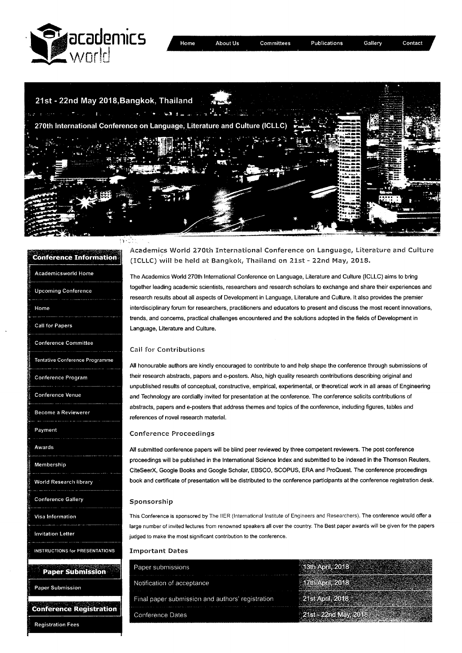



| rence Infor                           |
|---------------------------------------|
| <b>Academicsworld Home</b>            |
| <b>Upcoming Conference</b>            |
| Home                                  |
| Call for Papers                       |
| <b>Conference Committee</b>           |
| į<br>Tentative Conference Programme   |
| Conference Program                    |
| <b>Conference Venue</b>               |
| Become a Reviewerer                   |
| Payment                               |
| Awards                                |
| Membership                            |
| World Research library                |
| <b>Conference Gallery</b>             |
| Visa Information                      |
| <b>Invitation Letter</b>              |
| <b>INSTRUCTIONS for PRESENTATIONS</b> |
| <b>Paper Submission</b>               |

Paper Submission

**Conference Registration** 

**Registration Fees** 

Academics World 270th International Conference on Language, Literature and Culture (ICLLC) will be held at Bangkok, Thailand on 21st - 22nd May, 2018.

The Academics World 270th International Conference on Language, Literature and Culture (ICLLC) aims to bring together leading academic scientists, researchers and research scholars to exchange and share their experiences and research results about all aspects of Development in Language, Literature and Culture. It also provides the premier interdisciplinary forum for researchers, practitioners and educators to present and discuss the most recent innovations, trends, and concerns, practical challenges encountered and the solutions adopted in the fields of Development in Language, Literature and Culture.

## **Call for Contributions**

All honourable authors are kindly encouraged to contribute to and help shape the conference through submissions of their research abstracts, papers and e-posters. Also, high quality research contributions describing original and unpublished results of conceptual, constructive, empirical, experimental, or theoretical work in all areas of Engineering and Technology are cordially invited for presentation at the conference. The conference solicits contributions of abstracts, papers and e-posters that address themes and topics of the conference, including figures, tables and references of novel research material

### **Conference Proceedings**

All submitted conference papers will be blind peer reviewed by three competent reviewers. The post conference proceedings will be published in the International Science Index and submitted to be indexed in the Thomson Reuters, CiteSeerX, Google Books and Google Scholar, EBSCO, SCOPUS, ERA and ProQuest. The conference proceedings book and certificate of presentation will be distributed to the conference participants at the conference registration desk.

#### Sponsorship

This Conference is sponsored by The IIER (International Institute of Engineers and Researchers). The conference would offer a large number of invited lectures from renowned speakers all over the country. The Best paper awards will be given for the papers judged to make the most significant contribution to the conference.

### **Important Dates**

| Paper submissions                                |  |
|--------------------------------------------------|--|
| Notification of acceptance                       |  |
| Final paper submission and authors' registration |  |
| Conference Dates                                 |  |
|                                                  |  |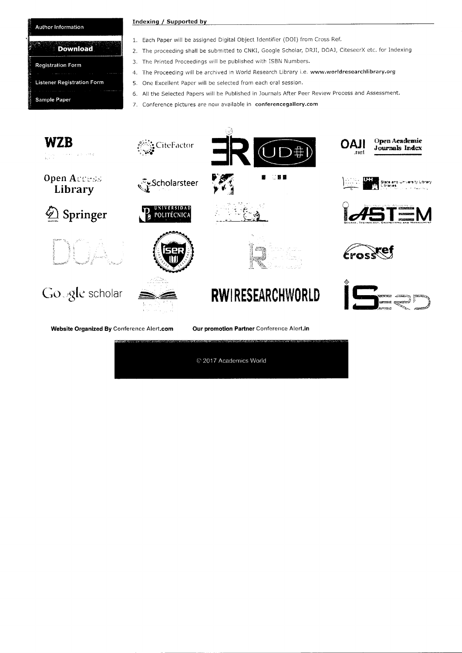## Author **Information**

## **Download**

| <b>Registration Form</b>          |  |
|-----------------------------------|--|
| <b>Listener Registration Form</b> |  |
|                                   |  |
| <b>Sample Paper</b>               |  |

### **Indexing** / **Supported by**

- 1. Each Paper will be assigned Digital Object Identifier (DOT) from Cross Ref.
- 2. The proceeding shall be submitted to CNKI, Google Scholar, DRJI, DOAJ, CiteseerX etc. for Indexing
- 3. The Printed Proceedings will be published with ISBN Numbers.
- 4. The Proceeding will be archived in World Research Library i.e. www.worldresearchlibrary.org
- 5. One Excellent Paper will be selected from each oral session.
- 6. All the Selected Papers will be Published in Journals After Peer Review Process and Assessment.
- 7. Conference pictures are now available in conferencegallery.com

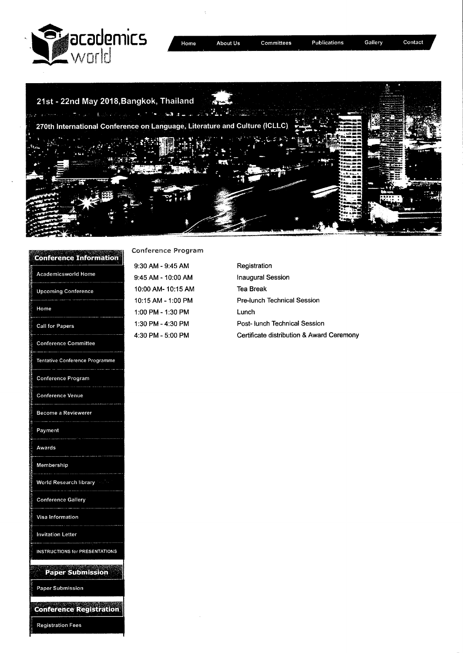

| lome |  | About l |  |
|------|--|---------|--|
|      |  |         |  |



| <b>Conference Information</b>  | Con          |  |
|--------------------------------|--------------|--|
|                                | 9:30         |  |
| Academicsworld Home            | 9:4!         |  |
| <b>Upcoming Conference</b>     | 10:0         |  |
|                                | 10:          |  |
| Home                           | 1:00         |  |
| <b>Call for Papers</b>         | 1:30<br>4:30 |  |
| <b>Conference Committee</b>    |              |  |
| Tentative Conference Programme |              |  |
| <b>Conference Program</b>      |              |  |
| <b>Conference Venue</b>        |              |  |
| Become a Reviewerer            |              |  |
| Payment                        |              |  |
| Awards                         |              |  |
| Membership                     |              |  |
| World Research library         |              |  |
| <b>Conference Gallery</b>      |              |  |
| Visa Information               |              |  |
| <b>Invitation Letter</b>       |              |  |
| INSTRUCTIONS for PRESENTATIONS |              |  |
| <b>Paper Submission</b>        |              |  |
| Paper Submission               |              |  |
| mar                            |              |  |

**Registration Fees** 

## **Iference Program**

9:30 AM - 9:45 AM 9:45 AM - 10:00 AM 10:00AM- 10:15AM 10:15 AM - 1:00 PM 1:00 PM - 1:30 PM 0 PM - 4:30 PM 4:30 PM - 5:00 PM

Registration Inaugural Session Tea Break Pre-lunch Technical Session Lunch Post- lunch Technical Session Certificate distribution & Award Ceremony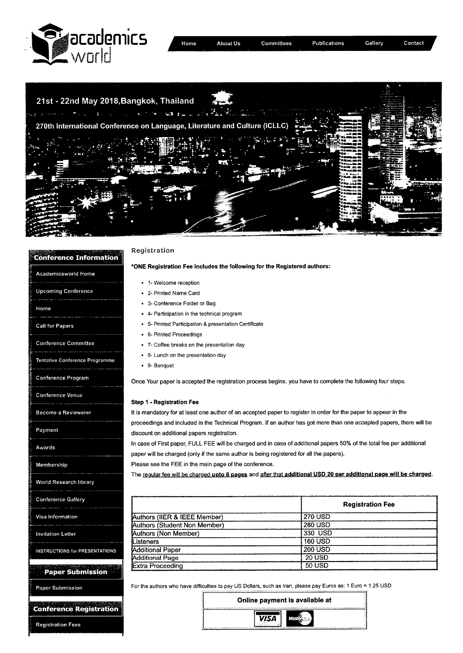



| <b>Conference Information</b>                              | Registration                                                                                                                                                                                                     |                                                                                                                      |
|------------------------------------------------------------|------------------------------------------------------------------------------------------------------------------------------------------------------------------------------------------------------------------|----------------------------------------------------------------------------------------------------------------------|
| <b>Academicsworld Home</b>                                 | *ONE Registration Fee Includes the following for the Registered authors:                                                                                                                                         |                                                                                                                      |
|                                                            | • 1- Welcome reception                                                                                                                                                                                           |                                                                                                                      |
| <b>Upcoming Conference</b>                                 | • 2- Printed Name Card                                                                                                                                                                                           |                                                                                                                      |
|                                                            | • 3- Conference Folder or Bag                                                                                                                                                                                    |                                                                                                                      |
| Home                                                       | • 4- Participation in the technical program                                                                                                                                                                      |                                                                                                                      |
| Call for Papers                                            | • 5- Printed Participation & presentation Certificate                                                                                                                                                            |                                                                                                                      |
|                                                            | • 6- Printed Proceedings                                                                                                                                                                                         |                                                                                                                      |
| <b>Conference Committee</b>                                | • 7- Coffee breaks on the presentation day                                                                                                                                                                       |                                                                                                                      |
|                                                            | • 8- Lunch on the presentation day                                                                                                                                                                               |                                                                                                                      |
| Tentative Conference Programme                             | • 9- Banquet                                                                                                                                                                                                     |                                                                                                                      |
| Conference Program                                         | Once Your paper is accepted the registration process begins, you have to complete the following four steps.                                                                                                      |                                                                                                                      |
| <b>Conference Venue</b>                                    |                                                                                                                                                                                                                  |                                                                                                                      |
| Become a Reviewerer                                        | <b>Step 1 - Registration Fee</b><br>It is mandatory for at least one author of an accepted paper to register in order for the paper to appear in the                                                             |                                                                                                                      |
|                                                            |                                                                                                                                                                                                                  | proceedings and included in the Technical Program. If an author has got more than one accepted papers, there will be |
| Payment                                                    |                                                                                                                                                                                                                  |                                                                                                                      |
| discount on additional papers registration.                |                                                                                                                                                                                                                  |                                                                                                                      |
| Awards                                                     | In case of First paper, FULL FEE will be charged and in case of additional papers 50% of the total fee per additional<br>paper will be charged (only if the same author is being registered for all the papers). |                                                                                                                      |
| Membership                                                 | Please see the FEE in the main page of the conference.                                                                                                                                                           |                                                                                                                      |
|                                                            |                                                                                                                                                                                                                  | The regular fee will be charged upto 6 pages and after that additional USD 20 per additional page will be charged.   |
| World Research library                                     |                                                                                                                                                                                                                  |                                                                                                                      |
|                                                            |                                                                                                                                                                                                                  |                                                                                                                      |
| <b>Conference Gallery</b>                                  |                                                                                                                                                                                                                  | <b>Registration Fee</b>                                                                                              |
|                                                            |                                                                                                                                                                                                                  |                                                                                                                      |
| Visa Information                                           | Authors (IIER & IEEE Member)                                                                                                                                                                                     | <b>270 USD</b><br><b>280 USD</b>                                                                                     |
| <b>Invitation Letter</b>                                   | Authors (Student Non Member)<br><b>Authors (Non Member)</b>                                                                                                                                                      | 330 USD                                                                                                              |
|                                                            | Listeners                                                                                                                                                                                                        | <b>160 USD</b>                                                                                                       |
| <b>INSTRUCTIONS for PRESENTATIONS</b>                      | <b>Additional Paper</b>                                                                                                                                                                                          | <b>200 USD</b>                                                                                                       |
|                                                            | <b>Additional Page</b>                                                                                                                                                                                           | <b>20 USD</b>                                                                                                        |
| <b>Paper Submission</b>                                    | Extra Proceeding                                                                                                                                                                                                 | 50 USD                                                                                                               |
| Paper Submission                                           | For the authors who have difficulties to pay US Dollars, such as Iran, please pay Euros as: 1 Euro = 1.25 USD                                                                                                    |                                                                                                                      |
| <b>Conference Registration</b><br><b>Registration Fees</b> | <b>VISA</b>                                                                                                                                                                                                      | Online payment is available at                                                                                       |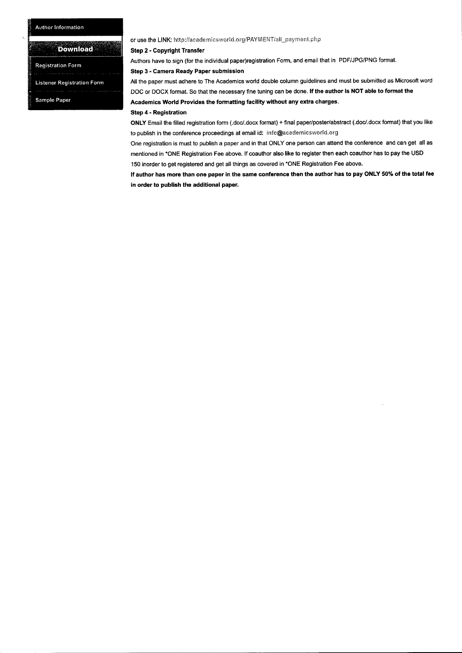## Author Information

## **Dôwnloäd**

Registration Form

Listener Registration Form

Sample Paper

## or use the LINK: http://academicsworld.org/PAYMENT/all\_payment.php

### Step 2- Copyright Transfer

Authors have to sign (for the individual paper)registration Form, and email that in PDF/JPG/PNG format.

### Step 3-Camera Ready Paper submission

All the paper must adhere to The Academics world double column guidelines and must be submitted as Microsoft word DOC or DOCX format. So that the necessary fine tuning can be done. If the author is NOT able to format the Academics World Provides the formatting facility without any extra charges.

### **Step 4- Registration**

**ONLY** Email the filled registration form (.doc/.docx format) + final paper/poster/abstract (.doc/.docx format) that you like to publish in the conference proceedings at email id: info@academicsworld.org

One registration is must to publish a paper and in that ONLY one person can attend the conference and can get all as mentioned in \*ONE Registration Fee above. If coauthor also like to register then each coauthor has to pay the USD 150 inorder to get registered and get all things as covered in \*ONE Registration Fee above.

If author has more than one paper in the same conference then the author has to pay ONLY 50% of the total fee **in order to publish the additional paper.**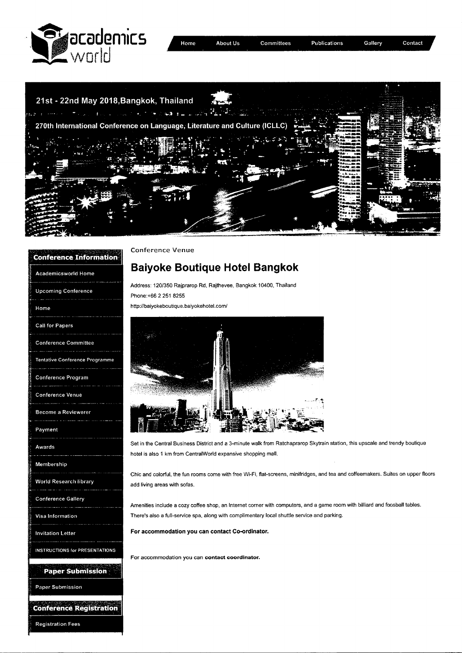



| <b>Conference Information</b>         |
|---------------------------------------|
| <b>Academicsworld Home</b>            |
| <b>Upcoming Conference</b>            |
| Home                                  |
| <b>Call for Papers</b>                |
| <b>Conference Committee</b>           |
| Tentative Conference Programme        |
| Conference Program                    |
| <b>Conference Venue</b>               |
| <b>Become a Reviewerer</b>            |
| Payment                               |
| Awards                                |
| Membership                            |
| <b>World Research library</b>         |
| <b>Conference Gallery</b>             |
| Visa Information                      |
| <b>Invitation Letter</b>              |
| <b>INSTRUCTIONS for PRESENTATIONS</b> |
| <b>Paper Submission</b>               |
| <b>Paper Submission</b>               |
|                                       |

Registration Fees

Conference Venue

**Avec Artists (2019)** 

# **Baiyoke Boutique Hotel Bangkok**

Address: 120/350 Rajprarop Rd, Rajthevee, Bangkok 10400, Thailand Phone:+66 2 251 8255

http://baiyokeboutique.baiyokehotel.com/



Set in the Central Business District and a 3-minute walk from Ratchaprarop Skytrain station, this upscale and trendy boutique hotel is also 1 km from Central World expansive shopping mall.

Chic and colorful, the fun rooms come with free Wi-Fi, flat-screens, minifridges, and tea and coffeemakers. Suites on upper floors add living areas with sofas.

Amenities include a cozy coffee shop, an Internet corner with computers, and a game room with billiard and foosball tables. There's also a full-service spa, along with complimentary local shuttle service and parking.

**For accommodation you can contact Co-ordinator.** 

For accommodation you can **contact coordinator.**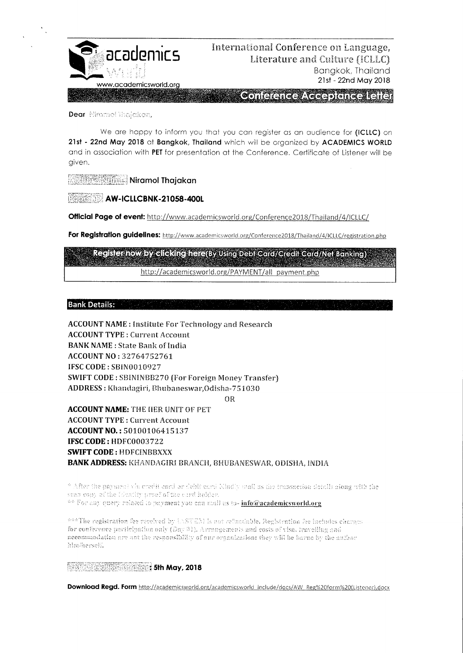

## **acadomics** *international Conference on Language,* Literature and Culture (ICLLC) Bangkok, Thailand **21sf- 22nd May 2018**<br>www.academicsworld.org

**Concence Accepting Iglici** 

Dear **Miramet Thelekan**.

We are happy to inform you that you can register as an audience for **(ICLLC)** on **21st** - **22nd May 2018** at **Bangkok, Thailand** which will be organized by ACADEMICS WORLD and in association with PET for presentation at the Conference. Certificate of Listener will be given.

**Niramol Thajakan** 

**AW-ICLLCBNK-21058-400L** 

**Official Page of event:** http://www.academicsworid.org/Conference2O18/Thailand/4/ICLLC/

For Registration guidelines: http://www.academicsworld.org/Conference2018/Thailand/4/iCLLC/registration.php

Register now by difeking here(By Using Debi Card/Gredit Card/Net Banking) http://academicsworld.org/PAYMENT/all payment.php

**Bank Details:** 

ACCOUNT NAME: Institute For Technology and Research ACCOUNT TYPE: Current Account **BANK NAME** : State Bank of India **ACCOUNT NO:** 32764752761 IFSC CODE: SBiN0010927 SWIFT CODE: SBININBB27Q (For Foreign Money Transfer) ADDRESS : Khaudagiri, Ehubaneswar,Odisha-75i030

OR

**ACCOUNT NAME: THE HER UNIT OF PET** ACCOUNT TYPE: Current Account **ACCOUNTNO.:** 50100106415137 **IFSC CODE: HDFC0003722 SWIFT CODE: HDFCINBBXXX** BANK ADDRESS: KHANDAGIRI BRANCH, BHUBANESWAR, ODISHA, INDIA

\* After the payment via credit card or debit card Kindly and as the transaction details along with the scan copy of the formity proof of the card holder. <sup>se</sup> For any query related to payment you can mull as to- info@academicsworld.org

and The registration fee received by USTEM is not refundable. Registration fee includes charges for conference participation only (Day 01), Arrangements and costs of visa, travelling and accommodation are ant the responsibility of our organization: they will be berne by the author him/herself.

**13. 2018 : 5th May, 2018** 

Download Regd. Form http://academicsworld.org/academicsworld\_include/docs/AW\_Reg%20form%20(Listener).docx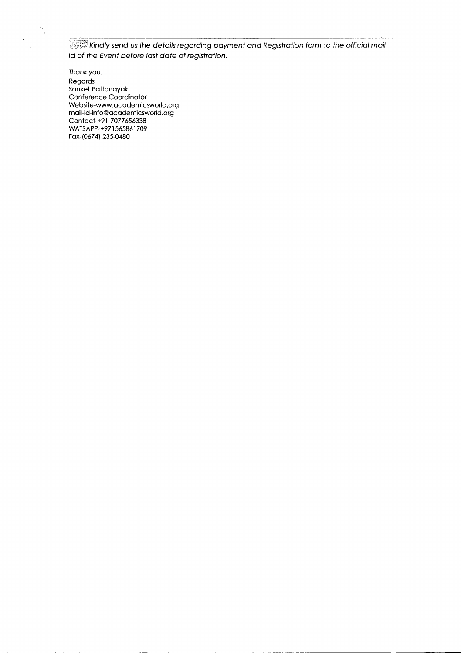Kindly send us the details regarding payment and Registration form to the official mail Id of the Event before last date of registration.

Thank you. Regards Sanket Pattanayak Conference Coordinator Website-www.academicsworld.org mail-id-info@academicsworld.org Contact-+9 1-7077656338 WATSAPP-+97 1565861709 Fax-(0674) 235-0480

 $\widehat{\mathcal{F}}_{\mathcal{G}}$ 

 $\frac{1}{2}$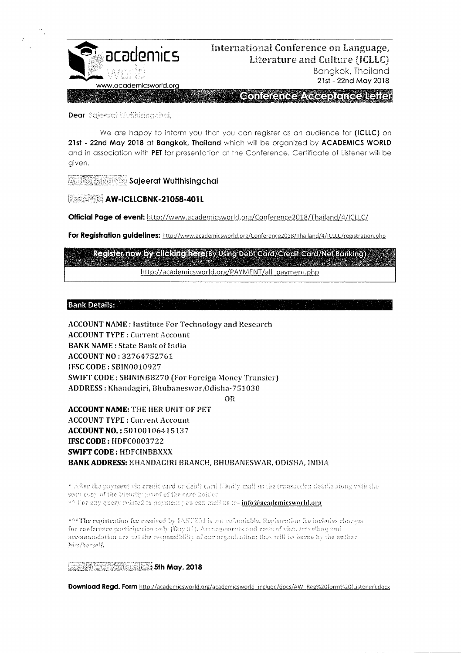

Dear Scieerch Wythising.chai,

We are happy to inform you that you can reaister as an audience for (ICLLC) on **21st 22nd May 2018** at **Bangkok, Thailand** vhich will be organized by ACADEMICS WORLD and in association with **PET** for presentation at the Conference. Certificate of Listener will be given.

**Scijeerat Wulthisingchai** 

**AW-ICLLCBNK-21058-401L** 

**Official Page of event:** http://www.academicsworld.org/Conference2018/Thailand/4/ICLLC/

For Registration guidelines: http://www.academicsworld.org/Conference2018/Thailand/4/ICLLC/registration.php

Register now by elicking here(By Using Debi Card/Credit Card/Net Banking) http://academicsworld.org/PAYMENT/all payment.php

**Bank Details:** 

ACCOUNT NAME: Institute For Technology and Research ACCOUNT TYPE: Current Account **BANK NAME** : State Bank of india **ACCOUNT NO:** 32764752761 IFSC CODE: SB1N0010927 SWIFT CODE : SBNINBB270 (For Foreign Money Transfer) ADDRESS: Khandagiri, Bhubaneswar, Odisha-751030

OR

**ACCOUNT NAME:** THE HER UNIT OF PET ACCOUNT TYPE: Current Account **ACCOUNT NO.:** 50100106415137 **IFSC CODE:** HDFC0003722 **SWIFT CODE:** HDFCINBBXXX BANK ADDRESS: KHANDAGIRI BRANCH, BHUBANESWAR, ODISHA, INDIA

\* After the payment via credit card or debit card (Gudly mail as the transaction details along with the sean copy of the Mentity proof of the card holder. <sup>44</sup> For any query related to payment you can mail us to- info@academicsworld.org

and The registration fee received by IASTEM is not refundable. Registration fee includes charges for conference participation only (Day 01). Armagements and costs of visa, travelling and accommodation are not the responsibility of our organization; they will be borne by the author him/herself.

**:5th May, 2018** 

Download Regd. Form http://academicsworld.org/academicsworld\_include/docs/AW\_Reg%20form%20(Listener).docx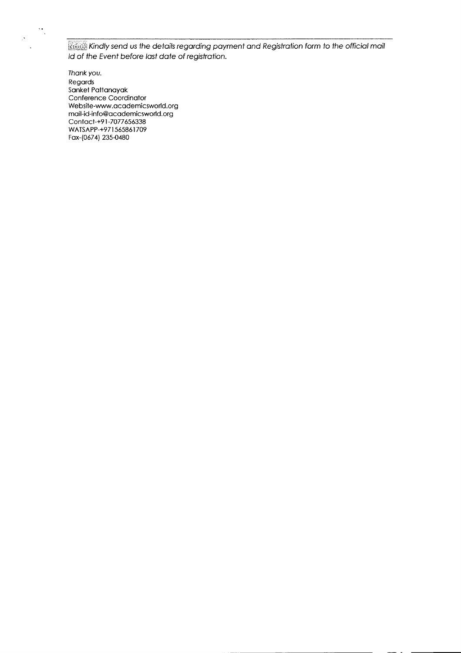

Kindly send us the details regarding payment and Registration form to the official mail Id of the Event before last date of regisfration.

Thank you. Regards Sanket Pattanayak Conference Coordinator Website-www.academicsworld.org mail-id-info@academicsworld.org Contact-+9 1-7077656338 WATSAPP-+971 565861709 Fax-(0674) 235-0480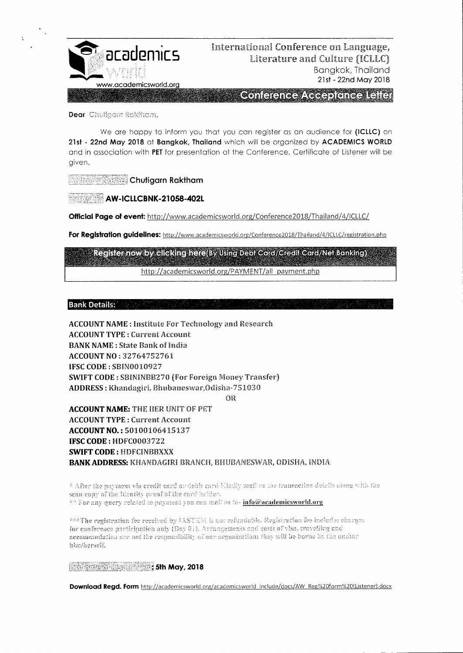

## International Conference on Language. Literature and Culture (ICLLC) Banakok, Thailand 21st - 22nd May 2018

Contarance/\ecaptencellana

Dear Chuilgam Raktham,

We are happy to inform you that you can register as an audience for (ICLLC) on 21st - 22nd May 2018 at Bangkok, Thailand which will be organized by ACADEMICS WORLD and in association with PET for presentation at the Conference. Certificate of Listener will be given.

**Allies New Chutigarn Raktham** 

**AW-ICLLCBNK-21058-402L** 

Official Page of event: http://www.academicsworld.org/Conference2018/Thailand/4/ICLLC/

For Registration guidelines: http://www.academicsworld.org/Conference2018/Thailand/4/ICLLC/registration.php

Register now by clicking here By Using Debi Card/Credit Card/Net Banking) http://academicsworld.org/PAYMENT/all\_payment.php

**Bank Details:** 

**ACCOUNT NAME: Institute For Technology and Research ACCOUNT TYPE: Current Account BANK NAME: State Bank of India ACCOUNT NO: 32764752761** IFSC CODE: SRIN0010927 **SWIFT CODE: SBININBB270 (For Foreign Money Transfer)** ADDRESS: Khandagiri, Bhubaneswar, Odisha-751030

OR

**ACCOUNT NAME: THE HER UNIT OF PET ACCOUNT TYPE: Current Account** ACCOUNT NO.: 50100106415137 IFSC CODE: HDFC0003722 **SWIFT CODE: HDFCINBBXXX BANK ADDRESS: KHANDAGIRI BRANCH, BHUBANESWAR, ODISHA, INDIA** 

\* After the payment via credit card or debit card kindly mail as the transaction details siong with the scan copy of the Identity proof of the card holder. \*\* For any query related to payment you can mail us to- info@academicsworld.org

\*\*\*The registration fee received by IASTEM is not refundable. Registration fee includes charges for conference participation only (Day 61). Arrangements and costs of visa, travelling and necommodation are not the responsibility of our organization; they will be borne by the author him/herself.

**Mary, 2018** 

Download Regd. Form http://academicsworld.org/academicsworld\_include/docs/AW\_Reg%20form%20(Listener).docx